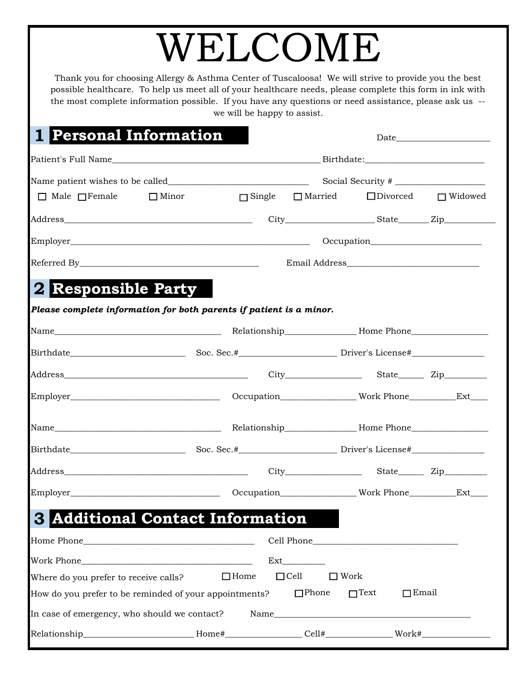## WELCOME

Thank you for choosing Allergy & Asthma Center of Tuscaloosa! We will strive to provide you the best possible healthcare. To help us meet all of your healthcare needs, please complete this form in ink with the most complete information possible. If you have any questions or need assistance, please ask us - we will be happy to assist.

Date\_

## **1 Personal Information**

|                                                                                                     |                                                                                                                      | Social Security # |                              |                             |                                |  |  |
|-----------------------------------------------------------------------------------------------------|----------------------------------------------------------------------------------------------------------------------|-------------------|------------------------------|-----------------------------|--------------------------------|--|--|
| $\Box$ Male $\Box$ Female $\Box$ Minor                                                              |                                                                                                                      |                   | $\Box$ Single $\Box$ Married |                             | $\Box$ Divorced $\Box$ Widowed |  |  |
|                                                                                                     |                                                                                                                      |                   |                              |                             |                                |  |  |
|                                                                                                     |                                                                                                                      |                   |                              |                             |                                |  |  |
|                                                                                                     |                                                                                                                      |                   |                              |                             |                                |  |  |
| <b>2 Responsible Party</b>                                                                          |                                                                                                                      |                   |                              |                             |                                |  |  |
| Please complete information for both parents if patient is a minor.                                 |                                                                                                                      |                   |                              |                             |                                |  |  |
|                                                                                                     |                                                                                                                      |                   |                              |                             |                                |  |  |
|                                                                                                     |                                                                                                                      |                   |                              |                             |                                |  |  |
|                                                                                                     |                                                                                                                      |                   |                              |                             |                                |  |  |
|                                                                                                     |                                                                                                                      |                   |                              |                             |                                |  |  |
|                                                                                                     |                                                                                                                      |                   |                              |                             |                                |  |  |
|                                                                                                     |                                                                                                                      |                   |                              |                             |                                |  |  |
|                                                                                                     |                                                                                                                      |                   |                              |                             |                                |  |  |
|                                                                                                     |                                                                                                                      |                   |                              |                             |                                |  |  |
| <b>S</b> Additional Contact Information                                                             |                                                                                                                      |                   |                              |                             |                                |  |  |
|                                                                                                     |                                                                                                                      |                   |                              |                             |                                |  |  |
| Work Phone                                                                                          | <u> 1989 - Johann Barbara, martxa alemaniar amerikan basar da da a shekara a shekara a shekara a shekara a sheka</u> |                   | Ext                          |                             |                                |  |  |
| Where do you prefer to receive calls?                                                               |                                                                                                                      | $\Box$ Home       | $\Box$ Cell                  | $\Box$ Work                 |                                |  |  |
| How do you prefer to be reminded of your appointments?                                              |                                                                                                                      |                   | $\Box$ Phone                 | $\Box$ Text<br>$\Box$ Email |                                |  |  |
| In case of emergency, who should we contact?                                                        |                                                                                                                      | Name              |                              |                             |                                |  |  |
| Relationship_____________________________Home#_________________Cell#_______________Work#___________ |                                                                                                                      |                   |                              |                             |                                |  |  |